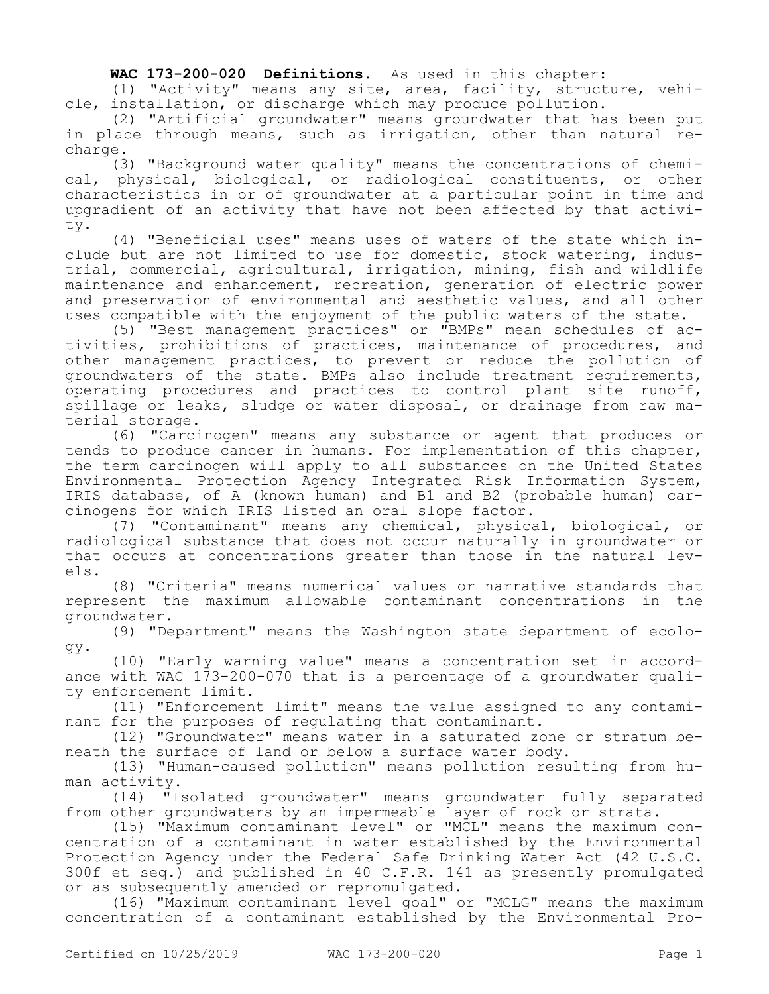**WAC 173-200-020 Definitions.** As used in this chapter:

(1) "Activity" means any site, area, facility, structure, vehicle, installation, or discharge which may produce pollution.

(2) "Artificial groundwater" means groundwater that has been put in place through means, such as irrigation, other than natural recharge.

(3) "Background water quality" means the concentrations of chemical, physical, biological, or radiological constituents, or other characteristics in or of groundwater at a particular point in time and upgradient of an activity that have not been affected by that activity.

(4) "Beneficial uses" means uses of waters of the state which include but are not limited to use for domestic, stock watering, industrial, commercial, agricultural, irrigation, mining, fish and wildlife maintenance and enhancement, recreation, generation of electric power and preservation of environmental and aesthetic values, and all other uses compatible with the enjoyment of the public waters of the state.

(5) "Best management practices" or "BMPs" mean schedules of activities, prohibitions of practices, maintenance of procedures, and other management practices, to prevent or reduce the pollution of groundwaters of the state. BMPs also include treatment requirements, operating procedures and practices to control plant site runoff, spillage or leaks, sludge or water disposal, or drainage from raw material storage.

(6) "Carcinogen" means any substance or agent that produces or tends to produce cancer in humans. For implementation of this chapter, the term carcinogen will apply to all substances on the United States Environmental Protection Agency Integrated Risk Information System, IRIS database, of A (known human) and B1 and B2 (probable human) carcinogens for which IRIS listed an oral slope factor.

(7) "Contaminant" means any chemical, physical, biological, or radiological substance that does not occur naturally in groundwater or that occurs at concentrations greater than those in the natural levels.

(8) "Criteria" means numerical values or narrative standards that represent the maximum allowable contaminant concentrations in the groundwater.

(9) "Department" means the Washington state department of ecology.

(10) "Early warning value" means a concentration set in accordance with WAC 173-200-070 that is a percentage of a groundwater quality enforcement limit.

(11) "Enforcement limit" means the value assigned to any contaminant for the purposes of regulating that contaminant.

(12) "Groundwater" means water in a saturated zone or stratum beneath the surface of land or below a surface water body.

(13) "Human-caused pollution" means pollution resulting from human activity.

(14) "Isolated groundwater" means groundwater fully separated from other groundwaters by an impermeable layer of rock or strata.

(15) "Maximum contaminant level" or "MCL" means the maximum concentration of a contaminant in water established by the Environmental Protection Agency under the Federal Safe Drinking Water Act (42 U.S.C. 300f et seq.) and published in 40 C.F.R. 141 as presently promulgated or as subsequently amended or repromulgated.

(16) "Maximum contaminant level goal" or "MCLG" means the maximum concentration of a contaminant established by the Environmental Pro